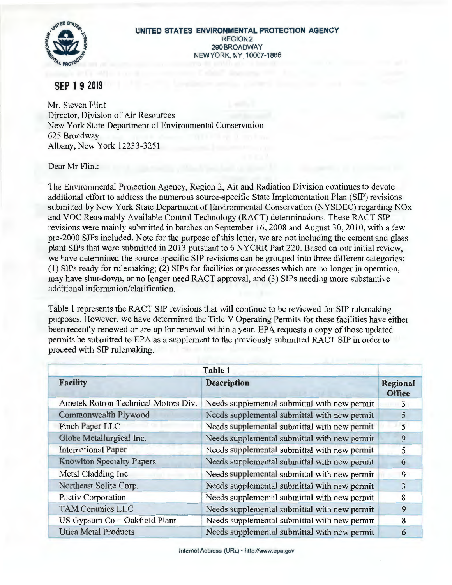

## **SEP 19 2019**

Mr. Steven Flint Director, Division of Air Resources New York State Department of Environmental Conservation 625 Broadway Albany, New York 12233-3251

Dear Mr Flint:

The Environmental Protection Agency, Region 2, Air and Radiation Division continues to devote additional effort to address the numerous source-specific State Implementation Plan (SIP) revisions submitted by New York State Department of Environmental Conservation (NYSDEC) regarding NOx and VOC Reasonably Available Control Technology (RACT) determinations. These RACT SIP revisions were mainly submitted in batches on September 16, 2008 and August 30, 2010, with a few pre-2000 SIPs included. Note for the purpose of this letter, we are not including the cement and glass plant SIPs that were submitted in 2013 pursuant to 6 NYCRR Part 220. Based on our initial review, we have determined the source-specific SIP revisions can be grouped into three different categories: (1) SIPs ready for rulemaking; (2) SIPs for facilities or processes which are no longer in operation, may have shut-down, or no longer need RACT approval, and (3) SIPs needing more substantive additional information/clarification.

Table 1 represents the RACT SIP revisions that will continue to be reviewed for SIP rulemaking purposes. However, we have determined the Title V Operating Permits for these facilities have either been recently renewed or are up for renewal within a year. EPA requests a copy of those updated permits be submitted to EPA as a supplement to the previously submitted RACT SIP in order to proceed with SIP rulemaking.

|                                     | Table 1                                      |                           |
|-------------------------------------|----------------------------------------------|---------------------------|
| <b>Facility</b>                     | <b>Description</b>                           | Regional<br><b>Office</b> |
| Ametek Rotron Technical Motors Div. | Needs supplemental submittal with new permit | 3                         |
| Commonwealth Plywood                | Needs supplemental submittal with new permit | 5                         |
| Finch Paper LLC                     | Needs supplemental submittal with new permit | 5                         |
| Globe Metallurgical Inc.            | Needs supplemental submittal with new permit | 9                         |
| <b>International Paper</b>          | Needs supplemental submittal with new permit | 5                         |
| <b>Knowlton Specialty Papers</b>    | Needs supplemental submittal with new permit | 6                         |
| Metal Cladding Inc.                 | Needs supplemental submittal with new permit | 9                         |
| Northeast Solite Corp.              | Needs supplemental submittal with new permit | 3                         |
| Pactiv Corporation                  | Needs supplemental submittal with new permit | 8                         |
| <b>TAM Ceramics LLC</b>             | Needs supplemental submittal with new permit | 9                         |
| US Gypsum Co - Oakfield Plant       | Needs supplemental submittal with new permit | 8                         |
| <b>Utica Metal Products</b>         | Needs supplemental submittal with new permit | 6                         |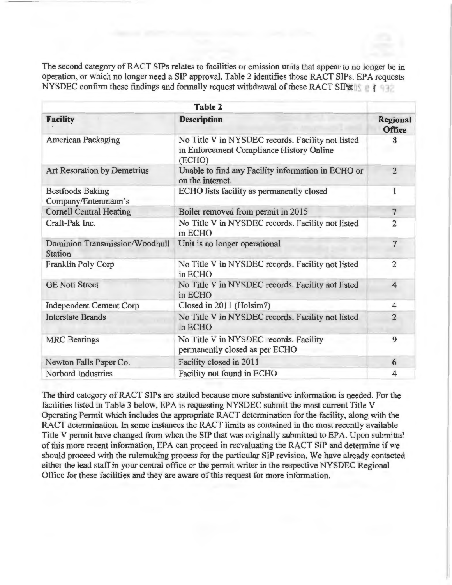The second category of RACT SIPs relates to facilities or emission units that appear to no longer be in operation, or which no longer need a SIP approval. Table 2 identifies those RACT SIPs. EPA requests NYSDEC confirm these findings and formally request withdrawal of these RACT SIPs.

| <b>Table 2</b>                                          |                                                                                                         |                                  |
|---------------------------------------------------------|---------------------------------------------------------------------------------------------------------|----------------------------------|
| <b>Facility</b>                                         | <b>Description</b>                                                                                      | <b>Regional</b><br><b>Office</b> |
| <b>American Packaging</b>                               | No Title V in NYSDEC records. Facility not listed<br>in Enforcement Compliance History Online<br>(ECHO) | 8                                |
| <b>Art Resoration by Demetrius</b>                      | Unable to find any Facility information in ECHO or<br>on the internet.                                  | $\overline{2}$                   |
| <b>Bestfoods Baking</b><br>Company/Entenmann's          | ECHO lists facility as permanently closed                                                               | 1                                |
| <b>Cornell Central Heating</b>                          | Boiler removed from permit in 2015                                                                      | $\overline{7}$                   |
| Craft-Pak Inc.                                          | No Title V in NYSDEC records. Facility not listed<br>in ECHO                                            | $\overline{2}$                   |
| <b>Dominion Transmission/Woodhull</b><br><b>Station</b> | Unit is no longer operational                                                                           | $\overline{7}$                   |
| Franklin Poly Corp                                      | No Title V in NYSDEC records. Facility not listed<br>in ECHO                                            | $\overline{2}$                   |
| <b>GE Nott Street</b>                                   | No Title V in NYSDEC records. Facility not listed<br>in ECHO                                            | $\overline{4}$                   |
| <b>Independent Cement Corp</b>                          | Closed in 2011 (Holsim?)                                                                                | $\overline{4}$                   |
| <b>Interstate Brands</b>                                | No Title V in NYSDEC records. Facility not listed<br>in ECHO                                            | $\overline{2}$                   |
| <b>MRC</b> Bearings                                     | No Title V in NYSDEC records. Facility<br>permanently closed as per ECHO                                | 9                                |
| Newton Falls Paper Co.                                  | Facility closed in 2011                                                                                 | 6                                |
| Norbord Industries                                      | Facility not found in ECHO                                                                              | $\overline{4}$                   |

The third category of RACT SIPs are stalled because more substantive information is needed. For the facilities listed in Table 3 below, EPA is requesting NYSDEC submit the most current Title V Operating Permit which includes the appropriate RACT determination for the facility , along with the RACT determination. In some instances the RACT limits as contained in the most recently available Title V permit have changed from when the SIP that was originally submitted to EPA. Upon submittal of this more recent information, EPA can proceed in reevaluating the RACT SIP and determine if we should proceed with the rulemaking process for the particular SIP revision. We have already contacted either the lead staff in your central office or the permit writer in the respective NYSDEC Regional Office for these facilities and they are aware of this request for more information.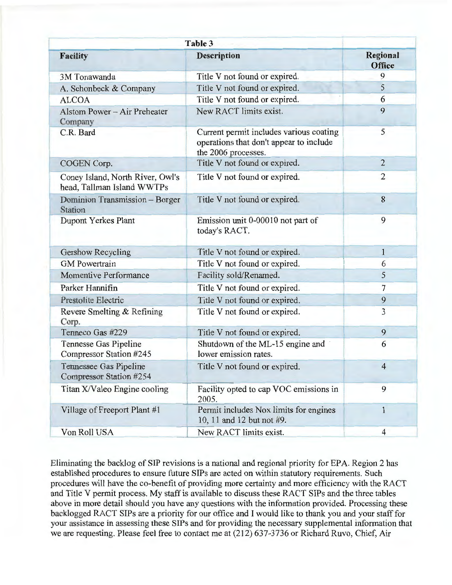| Table 3                                                        |                                                                                                           |                           |
|----------------------------------------------------------------|-----------------------------------------------------------------------------------------------------------|---------------------------|
| <b>Facility</b>                                                | <b>Description</b>                                                                                        | Regional<br><b>Office</b> |
| 3M Tonawanda                                                   | Title V not found or expired.                                                                             | 9                         |
| A. Schonbeck & Company                                         | Title V not found or expired.                                                                             | 5                         |
| <b>ALCOA</b>                                                   | Title V not found or expired.                                                                             | 6                         |
| Alstom Power - Air Preheater<br>Company                        | New RACT limits exist.                                                                                    | 9                         |
| C.R. Bard                                                      | Current permit includes various coating<br>operations that don't appear to include<br>the 2006 processes. | 5                         |
| COGEN Corp.                                                    | Title V not found or expired.                                                                             | $\overline{2}$            |
| Coney Island, North River, Owl's<br>head, Tallman Island WWTPs | Title V not found or expired.                                                                             | $\overline{2}$            |
| Dominion Transmission - Borger<br><b>Station</b>               | Title V not found or expired.                                                                             | 8                         |
| <b>Dupont Yerkes Plant</b>                                     | Emission unit 0-00010 not part of<br>today's RACT.                                                        | 9                         |
| Gershow Recycling                                              | Title V not found or expired.                                                                             | $\mathbf{1}$              |
| <b>GM</b> Powertrain                                           | Title V not found or expired.                                                                             | 6                         |
| Momentive Performance                                          | Facility sold/Renamed.                                                                                    | 5                         |
| Parker Hannifin                                                | Title V not found or expired.                                                                             | $\overline{7}$            |
| Prestolite Electric                                            | Title V not found or expired.                                                                             | 9                         |
| Revere Smelting & Refining<br>Corp.                            | Title V not found or expired.                                                                             | 3                         |
| Tenneco Gas #229                                               | Title V not found or expired.                                                                             | 9                         |
| Tennesse Gas Pipeline<br>Compressor Station #245               | Shutdown of the ML-15 engine and<br>lower emission rates.                                                 | 6                         |
| Tennessee Gas Pipeline<br>Compressor Station #254              | Title V not found or expired.                                                                             | $\overline{4}$            |
| Titan X/Valeo Engine cooling                                   | Facility opted to cap VOC emissions in<br>2005.                                                           | 9                         |
| Village of Freeport Plant #1                                   | Permit includes Nox limits for engines<br>10, 11 and 12 but not #9.                                       | 1                         |
| Von Roll USA                                                   | New RACT limits exist.                                                                                    | $\overline{4}$            |

' Eliminating the backlog of SIP revisions is a national and regional priority for EPA. Region 2 has established procedures to ensure future SIPs are acted on within statutory requirements. Such procedures will have the co-benefit of providing more certainty and more efficiency with the RACT and Title V permit process. My staff is available to discuss these RACT SIPs and the three tables above in more detail should you have any questions with the information provided. Processing these backlogged RACT SIPs are a priority for our office and I would like to thank you and your staff for your assistance in assessing these SIPs and for providing the necessary supplemental information that we are requesting. Please feel free to contact me at (212) 637-3736 or Richard Ruvo, Chief, Air